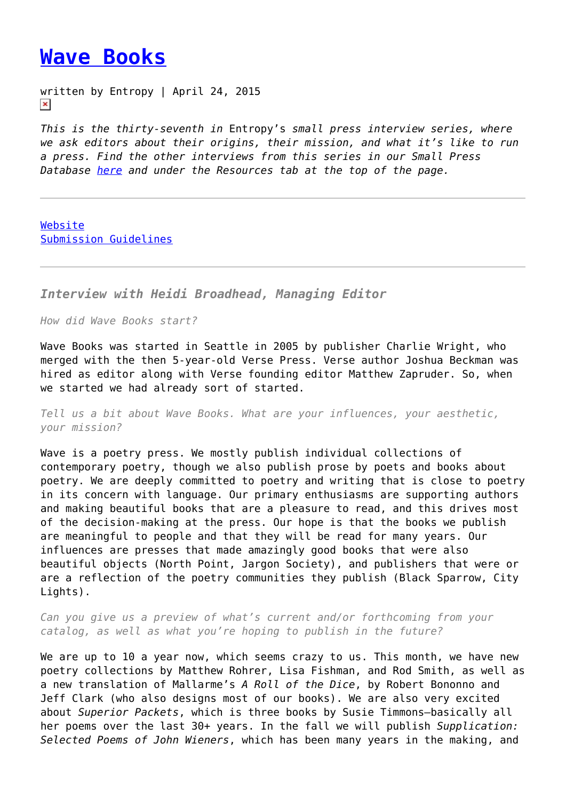## **[Wave Books](https://entropymag.org/wave-books/)**

written by Entropy | April 24, 2015  $\pmb{\times}$ 

*This is the thirty-seventh in* Entropy's *small press interview series, where we ask editors about their origins, their mission, and what it's like to run a press. Find the other interviews from this series in our Small Press Database [here](https://entropymag.org/small-press-database/) and under the Resources tab at the top of the page.*

[Website](http://www.wavepoetry.com/) [Submission Guidelines](http://www.wavepoetry.com/pages/submissions)

*Interview with Heidi Broadhead, Managing Editor*

*How did Wave Books start?*

Wave Books was started in Seattle in 2005 by publisher Charlie Wright, who merged with the then 5-year-old Verse Press. Verse author Joshua Beckman was hired as editor along with Verse founding editor Matthew Zapruder. So, when we started we had already sort of started.

*Tell us a bit about Wave Books. What are your influences, your aesthetic, your mission?*

Wave is a poetry press. We mostly publish individual collections of contemporary poetry, though we also publish prose by poets and books about poetry. We are deeply committed to poetry and writing that is close to poetry in its concern with language. Our primary enthusiasms are supporting authors and making beautiful books that are a pleasure to read, and this drives most of the decision-making at the press. Our hope is that the books we publish are meaningful to people and that they will be read for many years. Our influences are presses that made amazingly good books that were also beautiful objects (North Point, Jargon Society), and publishers that were or are a reflection of the poetry communities they publish (Black Sparrow, City Lights).

*Can you give us a preview of what's current and/or forthcoming from your catalog, as well as what you're hoping to publish in the future?*

We are up to 10 a year now, which seems crazy to us. This month, we have new poetry collections by Matthew Rohrer, Lisa Fishman, and Rod Smith, as well as a new translation of Mallarme's *A Roll of the Dice*, by Robert Bononno and Jeff Clark (who also designs most of our books). We are also very excited about *Superior Packets*, which is three books by Susie Timmons—basically all her poems over the last 30+ years. In the fall we will publish *Supplication: Selected Poems of John Wieners*, which has been many years in the making, and